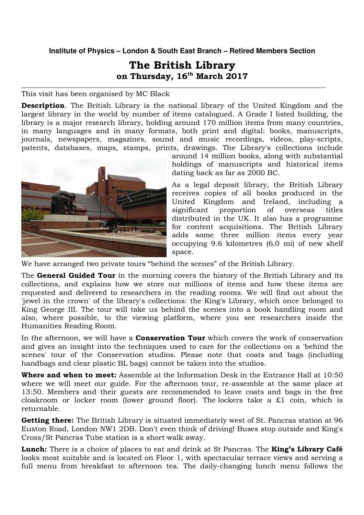## **Institute of Physics – London & South East Branch – Retired Members Section**

## The British Library on Thursday, 16<sup>th</sup> March 2017

## This visit has been organised by MC Black

**Description**. The British Library is the national library of the United Kingdom and the largest library in the world by number of items catalogued. A Grade I listed building, the library is a major research library, holding around 170 million items from many countries, in many languages and in many formats, both print and digital: books, manuscripts, journals, newspapers, magazines, sound and music recordings, videos, play-scripts, patents, databases, maps, stamps, prints, drawings. The Library's collections include



around 14 million books, along with substantial holdings of manuscripts and historical items dating back as far as 2000 BC.

As a legal deposit library, the British Library receives copies of all books produced in the United Kingdom and Ireland, including a significant proportion of overseas titles distributed in the UK. It also has a programme for content acquisitions. The British Library adds some three million items every year occupying 9.6 kilometres (6.0 mi) of new shelf space.

We have arranged two private tours "behind the scenes" of the British Library.

The **General Guided Tour** in the morning covers the history of the British Library and its collections, and explains how we store our millions of items and how these items are requested and delivered to researchers in the reading rooms. We will find out about the 'jewel in the crown' of the library's collections: the King's Library, which once belonged to King George III. The tour will take us behind the scenes into a book handling room and also, where possible, to the viewing platform, where you see researchers inside the Humanities Reading Room.

In the afternoon, we will have a **Conservation Tour** which covers the work of conservation and gives an insight into the techniques used to care for the collections on a 'behind the scenes' tour of the Conservation studios. Please note that coats and bags (including handbags and clear plastic BL bags) cannot be taken into the studios.

Where and when to meet: Assemble at the Information Desk in the Entrance Hall at 10:50 where we will meet our guide. For the afternoon tour, re-assemble at the same place at 13:50. Members and their guests are recommended to leave coats and bags in the free cloakroom or locker room (lower ground floor). The lockers take a  $£1$  coin, which is returnable.

Getting there: The British Library is situated immediately west of St. Pancras station at 96 Euston Road, London NW1 2DB. Don't even think of driving! Buses stop outside and King's Cross/St Pancras Tube station is a short walk away.

Lunch: There is a choice of places to eat and drink at St Pancras. The King's Library Café looks most suitable and is located on Floor 1, with spectacular terrace views and serving a full menu from breakfast to afternoon tea. The daily-changing lunch menu follows the